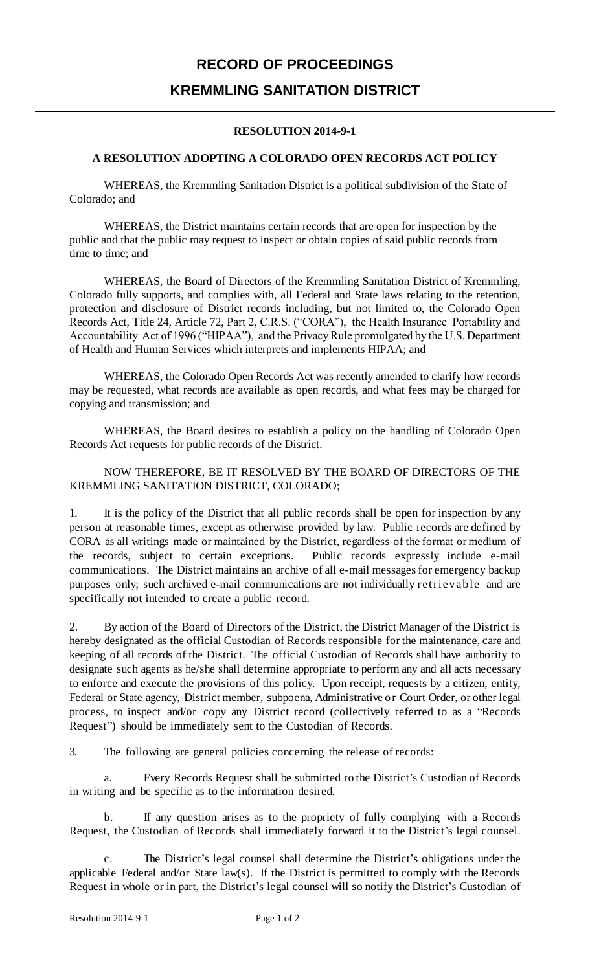# **RECORD OF PROCEEDINGS KREMMLING SANITATION DISTRICT**

### **RESOLUTION 2014-9-1**

### **A RESOLUTION ADOPTING A COLORADO OPEN RECORDS ACT POLICY**

WHEREAS, the Kremmling Sanitation District is a political subdivision of the State of Colorado; and

WHEREAS, the District maintains certain records that are open for inspection by the public and that the public may request to inspect or obtain copies of said public records from time to time; and

WHEREAS, the Board of Directors of the Kremmling Sanitation District of Kremmling, Colorado fully supports, and complies with, all Federal and State laws relating to the retention, protection and disclosure of District records including, but not limited to, the Colorado Open Records Act, Title 24, Article 72, Part 2, C.R.S. ("CORA"), the Health Insurance Portability and Accountability Act of 1996 ("HIPAA"), and the Privacy Rule promulgated by the U.S. Department of Health and Human Services which interprets and implements HIPAA; and

WHEREAS, the Colorado Open Records Act was recently amended to clarify how records may be requested, what records are available as open records, and what fees may be charged for copying and transmission; and

WHEREAS, the Board desires to establish a policy on the handling of Colorado Open Records Act requests for public records of the District.

#### NOW THEREFORE, BE IT RESOLVED BY THE BOARD OF DIRECTORS OF THE KREMMLING SANITATION DISTRICT, COLORADO;

1. It is the policy of the District that all public records shall be open for inspection by any person at reasonable times, except as otherwise provided by law. Public records are defined by CORA as all writings made or maintained by the District, regardless of the format or medium of the records, subject to certain exceptions. Public records expressly include e-mail communications. The District maintains an archive of all e-mail messages for emergency backup purposes only; such archived e-mail communications are not individually retrievable and are specifically not intended to create a public record.

2. By action of the Board of Directors of the District, the District Manager of the District is hereby designated as the official Custodian of Records responsible for the maintenance, care and keeping of all records of the District. The official Custodian of Records shall have authority to designate such agents as he/she shall determine appropriate to perform any and all acts necessary to enforce and execute the provisions of this policy. Upon receipt, requests by a citizen, entity, Federal or State agency, District member, subpoena, Administrative or Court Order, or other legal process, to inspect and/or copy any District record (collectively referred to as a "Records Request") should be immediately sent to the Custodian of Records.

3. The following are general policies concerning the release of records:

a. Every Records Request shall be submitted to the District's Custodian of Records in writing and be specific as to the information desired.

b. If any question arises as to the propriety of fully complying with a Records Request, the Custodian of Records shall immediately forward it to the District's legal counsel.

c. The District's legal counsel shall determine the District's obligations under the applicable Federal and/or State law(s). If the District is permitted to comply with the Records Request in whole or in part, the District's legal counsel will so notify the District's Custodian of